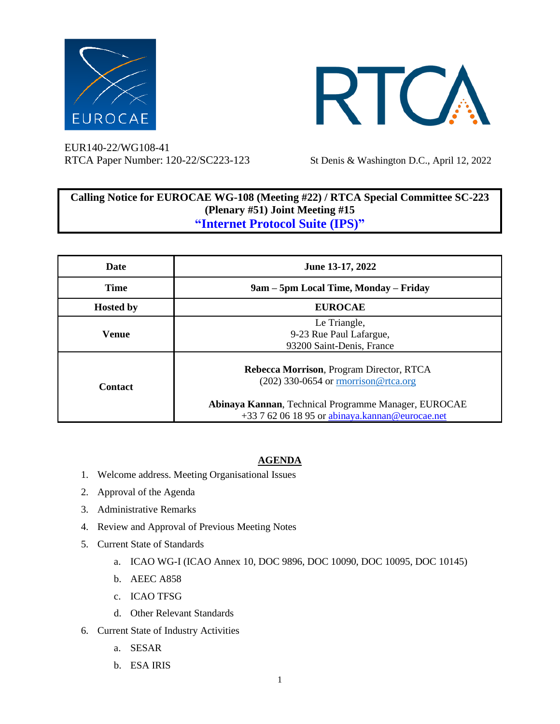



EUR140-22/WG108-41 RTCA Paper Number: 120-22/SC223-123 St Denis & Washington D.C., April 12, 2022

## **Calling Notice for EUROCAE WG-108 (Meeting #22) / RTCA Special Committee SC-223 (Plenary #51) Joint Meeting #15 "Internet Protocol Suite (IPS)"**

| Date             | June 13-17, 2022                                                                                                                                                                             |
|------------------|----------------------------------------------------------------------------------------------------------------------------------------------------------------------------------------------|
| <b>Time</b>      | 9am – 5pm Local Time, Monday – Friday                                                                                                                                                        |
| <b>Hosted by</b> | <b>EUROCAE</b>                                                                                                                                                                               |
| Venue            | Le Triangle,<br>9-23 Rue Paul Lafargue,<br>93200 Saint-Denis, France                                                                                                                         |
| <b>Contact</b>   | Rebecca Morrison, Program Director, RTCA<br>$(202)$ 330-0654 or morrison@rtca.org<br>Abinaya Kannan, Technical Programme Manager, EUROCAE<br>+33 7 62 06 18 95 or abinaya.kannan@eurocae.net |

## **AGENDA**

- 1. Welcome address. Meeting Organisational Issues
- 2. Approval of the Agenda
- 3. Administrative Remarks
- 4. Review and Approval of Previous Meeting Notes
- 5. Current State of Standards
	- a. ICAO WG-I (ICAO Annex 10, DOC 9896, DOC 10090, DOC 10095, DOC 10145)
	- b. AEEC A858
	- c. ICAO TFSG
	- d. Other Relevant Standards
- 6. Current State of Industry Activities
	- a. SESAR
	- b. ESA IRIS